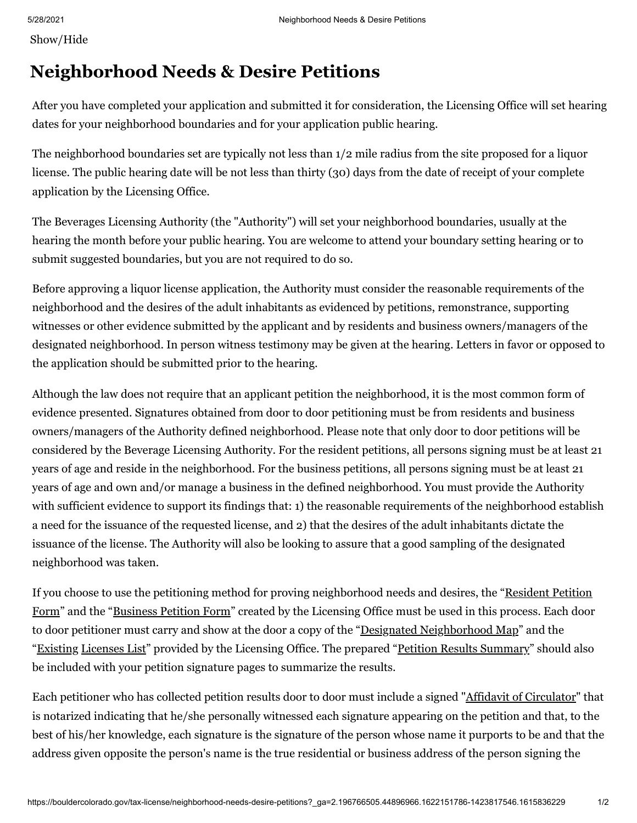Show/Hide

## **Neighborhood Needs & Desire Petitions**

After you have completed your application and submitted it for consideration, the Licensing Office will set hearing dates for your neighborhood boundaries and for your application public hearing.

The neighborhood boundaries set are typically not less than 1/2 mile radius from the site proposed for a liquor license. The public hearing date will be not less than thirty (30) days from the date of receipt of your complete application by the Licensing Office.

The Beverages Licensing Authority (the "Authority") will set your neighborhood boundaries, usually at the hearing the month before your public hearing. You are welcome to attend your boundary setting hearing or to submit suggested boundaries, but you are not required to do so.

Before approving a liquor license application, the Authority must consider the reasonable requirements of the neighborhood and the desires of the adult inhabitants as evidenced by petitions, remonstrance, supporting witnesses or other evidence submitted by the applicant and by residents and business owners/managers of the designated neighborhood. In person witness testimony may be given at the hearing. Letters in favor or opposed to the application should be submitted prior to the hearing.

Although the law does not require that an applicant petition the neighborhood, it is the most common form of evidence presented. Signatures obtained from door to door petitioning must be from residents and business owners/managers of the Authority defined neighborhood. Please note that only door to door petitions will be considered by the Beverage Licensing Authority. For the resident petitions, all persons signing must be at least 21 years of age and reside in the neighborhood. For the business petitions, all persons signing must be at least 21 years of age and own and/or manage a business in the defined neighborhood. You must provide the Authority with sufficient evidence to support its findings that: 1) the reasonable requirements of the neighborhood establish a need for the issuance of the requested license, and 2) that the desires of the adult inhabitants dictate the issuance of the license. The Authority will also be looking to assure that a good sampling of the designated neighborhood was taken.

If you choose to use the petitioning method for proving neighborhood needs and desires, the "Resident Petition Form" and the "Business Petition Form" created by the Licensing Office must be used in this process. Each door to door petitioner must carry and show at the door a copy of the "Designated Neighborhood Map" and the "Existing Licenses List" provided by the Licensing Office. The prepared "Petition Results Summary" should also be included with your petition signature pages to summarize the results.

Each petitioner who has collected petition results door to door must include a signed "Affidavit of Circulator" that is notarized indicating that he/she personally witnessed each signature appearing on the petition and that, to the best of his/her knowledge, each signature is the signature of the person whose name it purports to be and that the address given opposite the person's name is the true residential or business address of the person signing the